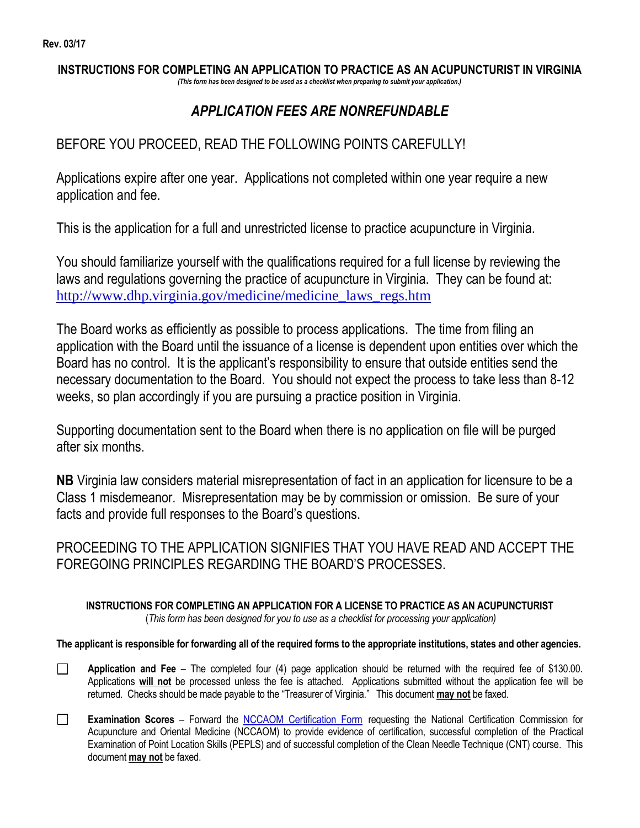$\Box$ 

 $\Box$ 

#### **INSTRUCTIONS FOR COMPLETING AN APPLICATION TO PRACTICE AS AN ACUPUNCTURIST IN VIRGINIA** *(This form has been designed to be used as a checklist when preparing to submit your application.)*

## *APPLICATION FEES ARE NONREFUNDABLE*

### BEFORE YOU PROCEED, READ THE FOLLOWING POINTS CAREFULLY!

Applications expire after one year. Applications not completed within one year require a new application and fee.

This is the application for a full and unrestricted license to practice acupuncture in Virginia.

You should familiarize yourself with the qualifications required for a full license by reviewing the laws and regulations governing the practice of acupuncture in Virginia. They can be found at: [http://www.dhp.virginia.gov/medicine/medicine\\_laws\\_regs.htm](http://www.dhp.virginia.gov/medicine/medicine_laws_regs.htm)

The Board works as efficiently as possible to process applications. The time from filing an application with the Board until the issuance of a license is dependent upon entities over which the Board has no control. It is the applicant's responsibility to ensure that outside entities send the necessary documentation to the Board. You should not expect the process to take less than 8-12 weeks, so plan accordingly if you are pursuing a practice position in Virginia.

Supporting documentation sent to the Board when there is no application on file will be purged after six months.

**NB** Virginia law considers material misrepresentation of fact in an application for licensure to be a Class 1 misdemeanor. Misrepresentation may be by commission or omission. Be sure of your facts and provide full responses to the Board's questions.

PROCEEDING TO THE APPLICATION SIGNIFIES THAT YOU HAVE READ AND ACCEPT THE FOREGOING PRINCIPLES REGARDING THE BOARD'S PROCESSES.

**INSTRUCTIONS FOR COMPLETING AN APPLICATION FOR A LICENSE TO PRACTICE AS AN ACUPUNCTURIST**  (*This form has been designed for you to use as a checklist for processing your application)*

**The applicant is responsible for forwarding all of the required forms to the appropriate institutions, states and other agencies.**

- **Application and Fee**  The completed four (4) page application should be returned with the required fee of \$130.00. Applications **will not** be processed unless the fee is attached. Applications submitted without the application fee will be returned. Checks should be made payable to the "Treasurer of Virginia." This document **may not** be faxed.
- **Examination Scores** Forward the [NCCAOM Certification Form](https://www.dhp.virginia.gov/Forms/medicine/LAC/NCCAOM_cert_form.doc) requesting the National Certification Commission for Acupuncture and Oriental Medicine (NCCAOM) to provide evidence of certification, successful completion of the Practical Examination of Point Location Skills (PEPLS) and of successful completion of the Clean Needle Technique (CNT) course. This document **may not** be faxed.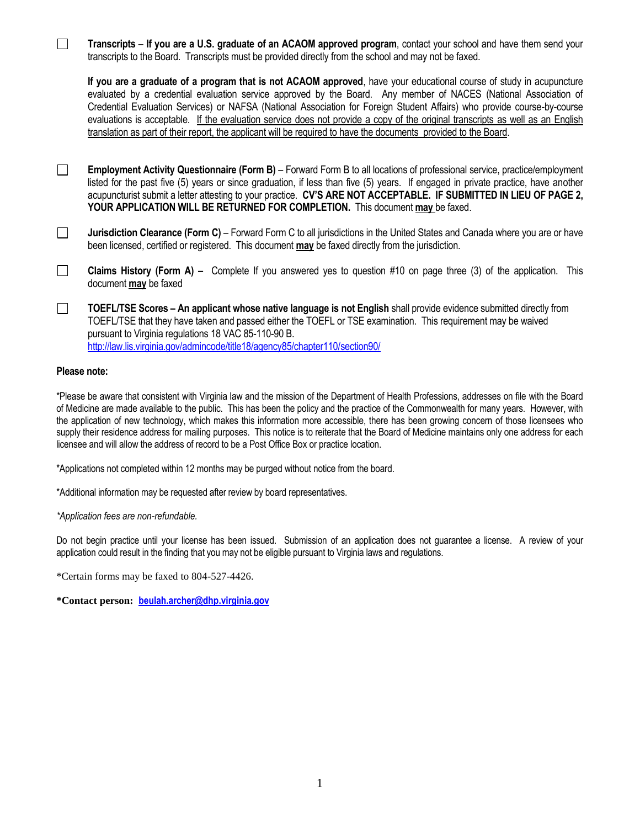| Transcripts – If you are a U.S. graduate of an ACAOM approved program, contact your school and have them send your<br>transcripts to the Board. Transcripts must be provided directly from the school and may not be faxed.                                                                                                                                                                                                                                                                                                                                                                                               |  |  |  |  |
|---------------------------------------------------------------------------------------------------------------------------------------------------------------------------------------------------------------------------------------------------------------------------------------------------------------------------------------------------------------------------------------------------------------------------------------------------------------------------------------------------------------------------------------------------------------------------------------------------------------------------|--|--|--|--|
| If you are a graduate of a program that is not ACAOM approved, have your educational course of study in acupuncture<br>evaluated by a credential evaluation service approved by the Board. Any member of NACES (National Association of<br>Credential Evaluation Services) or NAFSA (National Association for Foreign Student Affairs) who provide course-by-course<br>evaluations is acceptable. If the evaluation service does not provide a copy of the original transcripts as well as an English<br>translation as part of their report, the applicant will be required to have the documents provided to the Board. |  |  |  |  |
| Employment Activity Questionnaire (Form B) - Forward Form B to all locations of professional service, practice/employment<br>listed for the past five (5) years or since graduation, if less than five (5) years. If engaged in private practice, have another<br>acupuncturist submit a letter attesting to your practice. CV'S ARE NOT ACCEPTABLE. IF SUBMITTED IN LIEU OF PAGE 2,<br>YOUR APPLICATION WILL BE RETURNED FOR COMPLETION. This document may be faxed.                                                                                                                                                     |  |  |  |  |
| Jurisdiction Clearance (Form C) – Forward Form C to all jurisdictions in the United States and Canada where you are or have<br>been licensed, certified or registered. This document may be faxed directly from the jurisdiction.                                                                                                                                                                                                                                                                                                                                                                                         |  |  |  |  |
| <b>Claims History (Form A)</b> – Complete If you answered yes to question #10 on page three (3) of the application.<br>This<br>document may be faxed                                                                                                                                                                                                                                                                                                                                                                                                                                                                      |  |  |  |  |
| TOEFL/TSE Scores - An applicant whose native language is not English shall provide evidence submitted directly from<br>TOEFL/TSE that they have taken and passed either the TOEFL or TSE examination. This requirement may be waived<br>pursuant to Virginia regulations 18 VAC 85-110-90 B.<br>http://law.lis.virginia.gov/admincode/title18/agency85/chapter110/section90/                                                                                                                                                                                                                                              |  |  |  |  |

### **Please note:**

\*Please be aware that consistent with Virginia law and the mission of the Department of Health Professions, addresses on file with the Board of Medicine are made available to the public. This has been the policy and the practice of the Commonwealth for many years. However, with the application of new technology, which makes this information more accessible, there has been growing concern of those licensees who supply their residence address for mailing purposes. This notice is to reiterate that the Board of Medicine maintains only one address for each licensee and will allow the address of record to be a Post Office Box or practice location.

\*Applications not completed within 12 months may be purged without notice from the board.

\*Additional information may be requested after review by board representatives.

*\*Application fees are non-refundable.*

Do not begin practice until your license has been issued. Submission of an application does not guarantee a license. A review of your application could result in the finding that you may not be eligible pursuant to Virginia laws and regulations.

\*Certain forms may be faxed to 804-527-4426.

**\*Contact person: [beulah.archer@dhp.virginia.gov](mailto:beulah.archer@dhp.virginia.gov)**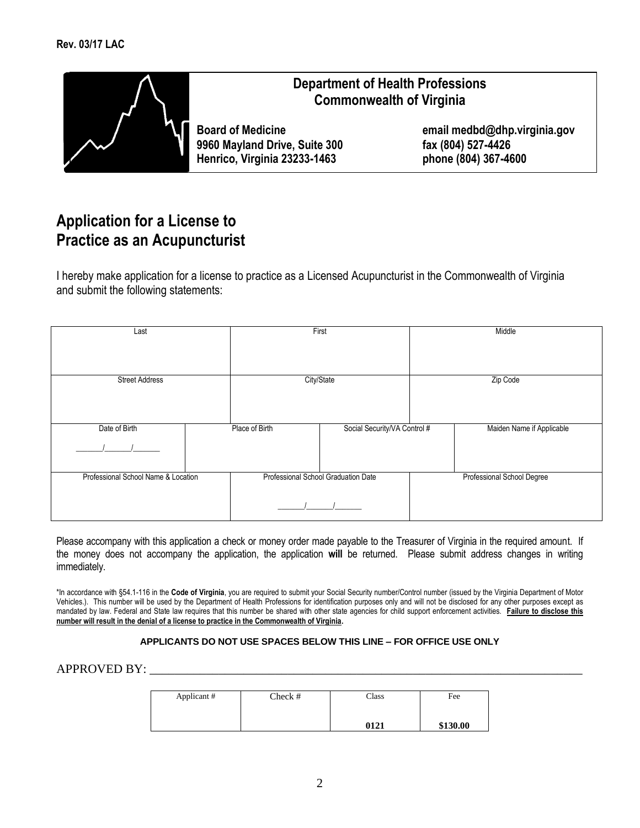

## **Department of Health Professions Commonwealth of Virginia**

**9960 Mayland Drive, Suite 300 fax (804) 527-4426 Henrico, Virginia 23233-1463 phone (804) 367-4600**

**Board of Medicine email medbd@dhp.virginia.gov**

# **Application for a License to Practice as an Acupuncturist**

I hereby make application for a license to practice as a Licensed Acupuncturist in the Commonwealth of Virginia and submit the following statements:

| Last                                | First          |                                     | Middle |                            |
|-------------------------------------|----------------|-------------------------------------|--------|----------------------------|
|                                     |                |                                     |        |                            |
| <b>Street Address</b>               |                | City/State                          |        | Zip Code                   |
| Date of Birth                       | Place of Birth | Social Security/VA Control #        |        | Maiden Name if Applicable  |
| Professional School Name & Location |                | Professional School Graduation Date |        | Professional School Degree |

Please accompany with this application a check or money order made payable to the Treasurer of Virginia in the required amount. If the money does not accompany the application, the application **will** be returned. Please submit address changes in writing immediately.

\*In accordance with §54.1-116 in the **Code of Virginia**, you are required to submit your Social Security number/Control number (issued by the Virginia Department of Motor Vehicles.). This number will be used by the Department of Health Professions for identification purposes only and will not be disclosed for any other purposes except as mandated by law. Federal and State law requires that this number be shared with other state agencies for child support enforcement activities. **Failure to disclose this number will result in the denial of a license to practice in the Commonwealth of Virginia.**

#### **APPLICANTS DO NOT USE SPACES BELOW THIS LINE – FOR OFFICE USE ONLY**

### APPROVED BY:

| Applicant# | Check # | $\text{Class}$ | Fee      |
|------------|---------|----------------|----------|
|            |         | 0121           | \$130.00 |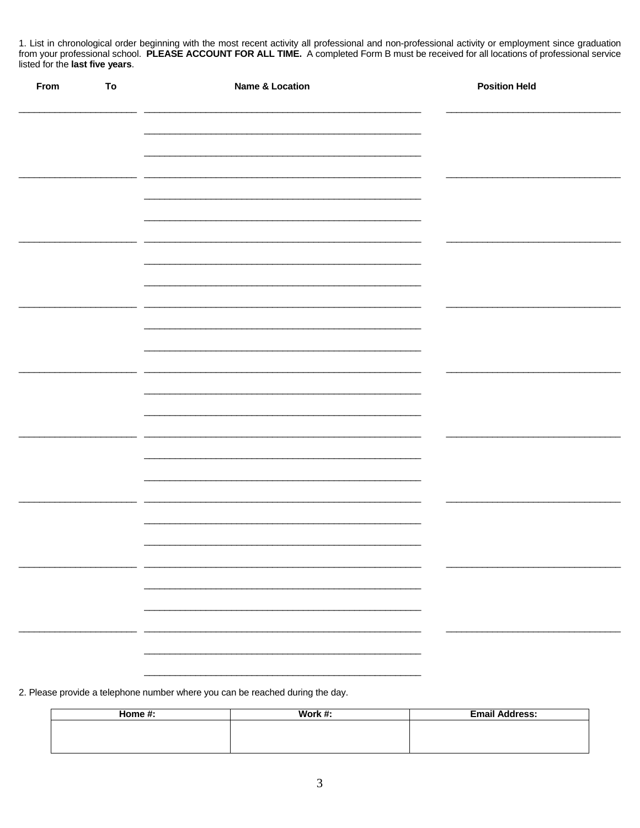1. List in chronological order beginning with the most recent activity all professional and non-professional activity or employment since graduation from your professional school. PLEASE ACCOUNT FOR ALL TIME. A completed Form B must be received for all locations of professional service listed for the last five years.

| From | To | <b>Name &amp; Location</b> | <b>Position Held</b>     |
|------|----|----------------------------|--------------------------|
|      |    |                            |                          |
|      |    |                            |                          |
|      |    |                            |                          |
|      |    |                            |                          |
|      |    |                            |                          |
|      |    |                            |                          |
|      |    |                            |                          |
|      |    |                            |                          |
|      |    |                            |                          |
|      |    |                            |                          |
|      |    |                            |                          |
|      |    |                            |                          |
|      |    |                            |                          |
|      |    |                            | $\overline{\phantom{a}}$ |
|      |    |                            |                          |
|      |    | $\overline{\phantom{a}}$   | $\overline{\phantom{a}}$ |
|      |    |                            |                          |

2. Please provide a telephone number where you can be reached during the day.

| Home $#$ : | Work $#$ : | <b>Email Address:</b> |
|------------|------------|-----------------------|
|            |            |                       |
|            |            |                       |
|            |            |                       |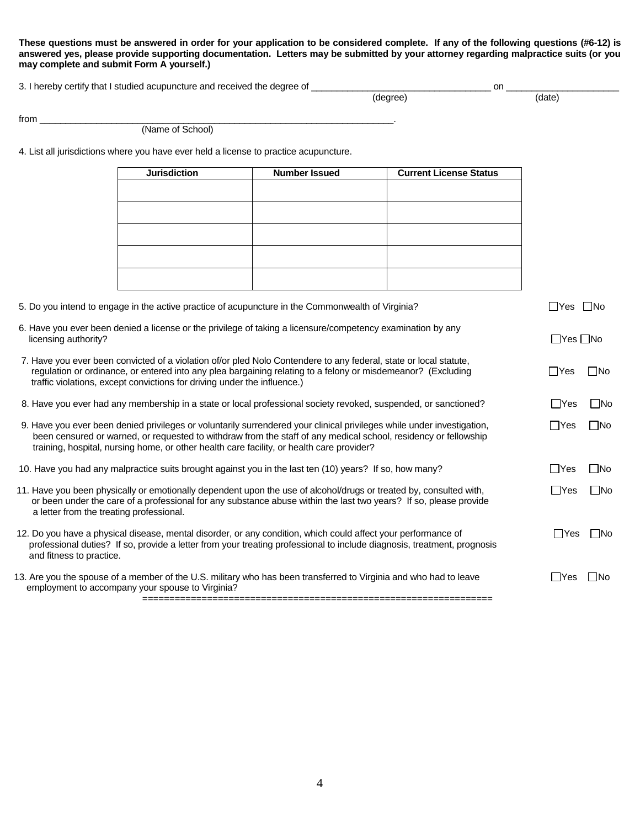#### **These questions must be answered in order for your application to be considered complete. If any of the following questions (#6-12) is answered yes, please provide supporting documentation. Letters may be submitted by your attorney regarding malpractice suits (or you may complete and submit Form A yourself.)**

3. I hereby certify that I studied acupuncture and received the degree of \_\_\_\_\_\_\_\_\_\_\_\_

| 3. I hereby certify that I studied acupuncture and received the degree of |        | or    |  |
|---------------------------------------------------------------------------|--------|-------|--|
|                                                                           | dearee | 'date |  |

from \_\_\_\_\_\_\_\_\_\_\_\_\_\_\_\_\_\_\_\_\_\_\_\_\_\_\_\_\_\_\_\_\_\_\_\_\_\_\_\_\_\_\_\_\_\_\_\_\_\_\_\_\_\_\_\_\_\_\_\_\_\_\_\_\_\_\_\_\_.

(Name of School)

4. List all jurisdictions where you have ever held a license to practice acupuncture.

|                                          | <b>Jurisdiction</b>                                                                                                                                                                                                                                                                                                                    | <b>Number Issued</b> | <b>Current License Status</b> |                      |              |
|------------------------------------------|----------------------------------------------------------------------------------------------------------------------------------------------------------------------------------------------------------------------------------------------------------------------------------------------------------------------------------------|----------------------|-------------------------------|----------------------|--------------|
|                                          |                                                                                                                                                                                                                                                                                                                                        |                      |                               |                      |              |
|                                          |                                                                                                                                                                                                                                                                                                                                        |                      |                               |                      |              |
|                                          |                                                                                                                                                                                                                                                                                                                                        |                      |                               |                      |              |
|                                          |                                                                                                                                                                                                                                                                                                                                        |                      |                               |                      |              |
|                                          |                                                                                                                                                                                                                                                                                                                                        |                      |                               |                      |              |
|                                          |                                                                                                                                                                                                                                                                                                                                        |                      |                               |                      |              |
|                                          | 5. Do you intend to engage in the active practice of acupuncture in the Commonwealth of Virginia?                                                                                                                                                                                                                                      |                      |                               | ΠYes                 | ∏No          |
| licensing authority?                     | 6. Have you ever been denied a license or the privilege of taking a licensure/competency examination by any                                                                                                                                                                                                                            |                      |                               | $\Box$ Yes $\Box$ No |              |
|                                          | 7. Have you ever been convicted of a violation of/or pled Nolo Contendere to any federal, state or local statute,<br>regulation or ordinance, or entered into any plea bargaining relating to a felony or misdemeanor? (Excluding<br>traffic violations, except convictions for driving under the influence.)                          |                      |                               | $\Box$ Yes           | _INo         |
|                                          | 8. Have you ever had any membership in a state or local professional society revoked, suspended, or sanctioned?                                                                                                                                                                                                                        |                      |                               | l IYes               | ∐No          |
|                                          | 9. Have you ever been denied privileges or voluntarily surrendered your clinical privileges while under investigation,<br>been censured or warned, or requested to withdraw from the staff of any medical school, residency or fellowship<br>training, hospital, nursing home, or other health care facility, or health care provider? |                      |                               | $\Box$ Yes           | $\square$ No |
|                                          | 10. Have you had any malpractice suits brought against you in the last ten (10) years? If so, how many?                                                                                                                                                                                                                                |                      |                               | $\Box$ Yes           | $\Box$ No    |
| a letter from the treating professional. | 11. Have you been physically or emotionally dependent upon the use of alcohol/drugs or treated by, consulted with,<br>or been under the care of a professional for any substance abuse within the last two years? If so, please provide                                                                                                |                      |                               | $\Box$ Yes           | $\Box$ No    |
| and fitness to practice.                 | 12. Do you have a physical disease, mental disorder, or any condition, which could affect your performance of<br>professional duties? If so, provide a letter from your treating professional to include diagnosis, treatment, prognosis                                                                                               |                      |                               | $\Box$ Yes           | $\Box$ No    |
|                                          | 13. Are you the spouse of a member of the U.S. military who has been transferred to Virginia and who had to leave<br>employment to accompany your spouse to Virginia?                                                                                                                                                                  |                      |                               | ∣ IYes               | - INo        |

=================================================================